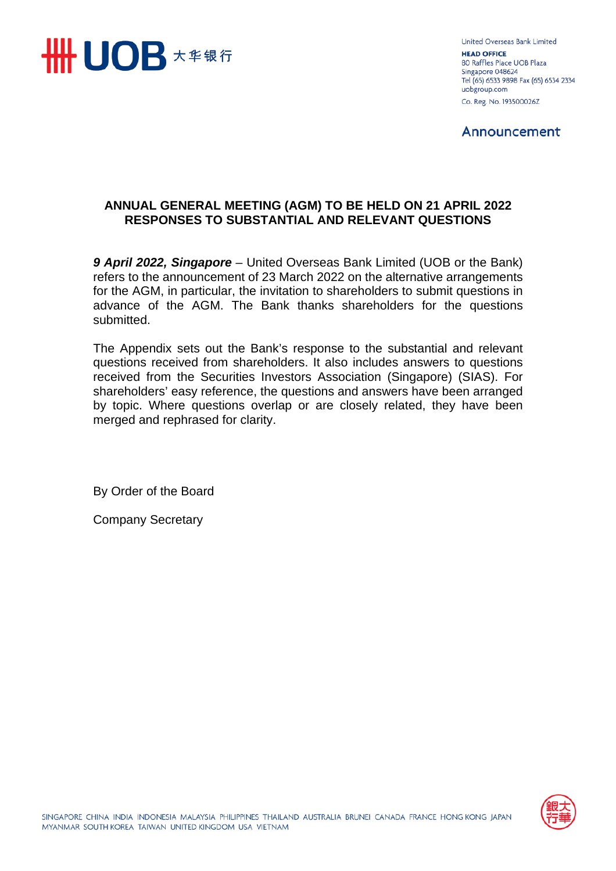

United Overseas Bank Limited **HEAD OFFICE** 80 Raffles Place UOB Plaza Singapore 048624 Tel (65) 6533 9898 Fax (65) 6534 2334 uobgroup.com Co. Reg. No. 193500026Z

Announcement

# **ANNUAL GENERAL MEETING (AGM) TO BE HELD ON 21 APRIL 2022 RESPONSES TO SUBSTANTIAL AND RELEVANT QUESTIONS**

*9 April 2022, Singapore* – United Overseas Bank Limited (UOB or the Bank) refers to the announcement of 23 March 2022 on the alternative arrangements for the AGM, in particular, the invitation to shareholders to submit questions in advance of the AGM. The Bank thanks shareholders for the questions submitted.

The Appendix sets out the Bank's response to the substantial and relevant questions received from shareholders. It also includes answers to questions received from the Securities Investors Association (Singapore) (SIAS). For shareholders' easy reference, the questions and answers have been arranged by topic. Where questions overlap or are closely related, they have been merged and rephrased for clarity.

By Order of the Board

Company Secretary

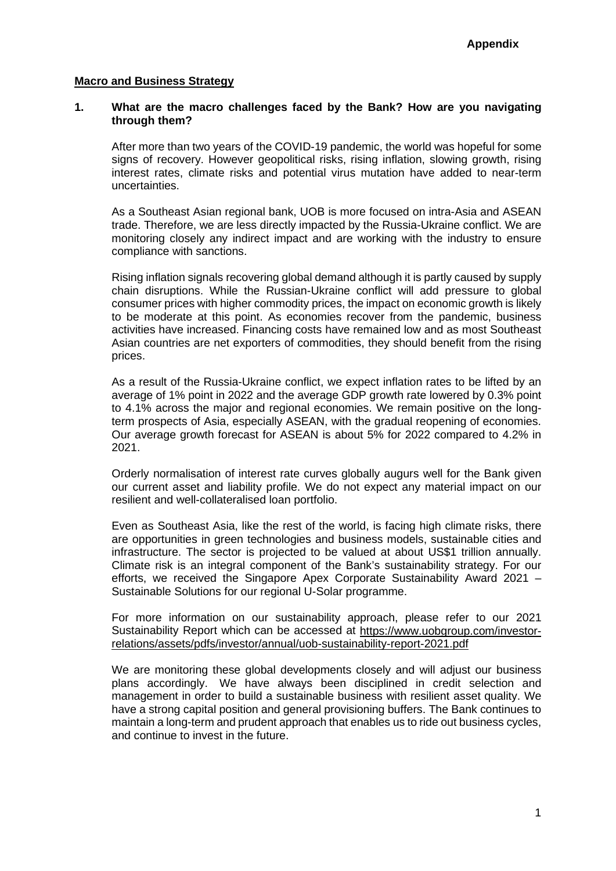#### **Macro and Business Strategy**

#### **1. What are the macro challenges faced by the Bank? How are you navigating through them?**

After more than two years of the COVID-19 pandemic, the world was hopeful for some signs of recovery. However geopolitical risks, rising inflation, slowing growth, rising interest rates, climate risks and potential virus mutation have added to near-term uncertainties.

As a Southeast Asian regional bank, UOB is more focused on intra-Asia and ASEAN trade. Therefore, we are less directly impacted by the Russia-Ukraine conflict. We are monitoring closely any indirect impact and are working with the industry to ensure compliance with sanctions.

Rising inflation signals recovering global demand although it is partly caused by supply chain disruptions. While the Russian-Ukraine conflict will add pressure to global consumer prices with higher commodity prices, the impact on economic growth is likely to be moderate at this point. As economies recover from the pandemic, business activities have increased. Financing costs have remained low and as most Southeast Asian countries are net exporters of commodities, they should benefit from the rising prices.

As a result of the Russia-Ukraine conflict, we expect inflation rates to be lifted by an average of 1% point in 2022 and the average GDP growth rate lowered by 0.3% point to 4.1% across the major and regional economies. We remain positive on the longterm prospects of Asia, especially ASEAN, with the gradual reopening of economies. Our average growth forecast for ASEAN is about 5% for 2022 compared to 4.2% in 2021.

Orderly normalisation of interest rate curves globally augurs well for the Bank given our current asset and liability profile. We do not expect any material impact on our resilient and well-collateralised loan portfolio.

Even as Southeast Asia, like the rest of the world, is facing high climate risks, there are opportunities in green technologies and business models, sustainable cities and infrastructure. The sector is projected to be valued at about US\$1 trillion annually. Climate risk is an integral component of the Bank's sustainability strategy. For our efforts, we received the Singapore Apex Corporate Sustainability Award 2021 – Sustainable Solutions for our regional U-Solar programme.

For more information on our sustainability approach, please refer to our 2021 Sustainability Report which can be accessed at [https://www.uobgroup.com/investor](https://apc01.safelinks.protection.outlook.com/?url=https%3A%2F%2Fwww.uobgroup.com%2Finvestor-relations%2Fassets%2Fpdfs%2Finvestor%2Fannual%2Fuob-sustainability-report-2021.pdf&data=04%7C01%7CChew.KimLing%40uobgroup.com%7Cd56d780dbc404db7b38c08da1615e10f%7C7e586855d88243399a56032d0aa10991%7C0%7C0%7C637846580467411439%7CUnknown%7CTWFpbGZsb3d8eyJWIjoiMC4wLjAwMDAiLCJQIjoiV2luMzIiLCJBTiI6Ik1haWwiLCJXVCI6Mn0%3D%7C3000&sdata=lbr47f99nxEbQDA7ktYluHPhmTgrnSaL3EPueTr3eN8%3D&reserved=0)[relations/assets/pdfs/investor/annual/uob-sustainability-report-2021.pdf](https://apc01.safelinks.protection.outlook.com/?url=https%3A%2F%2Fwww.uobgroup.com%2Finvestor-relations%2Fassets%2Fpdfs%2Finvestor%2Fannual%2Fuob-sustainability-report-2021.pdf&data=04%7C01%7CChew.KimLing%40uobgroup.com%7Cd56d780dbc404db7b38c08da1615e10f%7C7e586855d88243399a56032d0aa10991%7C0%7C0%7C637846580467411439%7CUnknown%7CTWFpbGZsb3d8eyJWIjoiMC4wLjAwMDAiLCJQIjoiV2luMzIiLCJBTiI6Ik1haWwiLCJXVCI6Mn0%3D%7C3000&sdata=lbr47f99nxEbQDA7ktYluHPhmTgrnSaL3EPueTr3eN8%3D&reserved=0)

We are monitoring these global developments closely and will adjust our business plans accordingly. We have always been disciplined in credit selection and management in order to build a sustainable business with resilient asset quality. We have a strong capital position and general provisioning buffers. The Bank continues to maintain a long-term and prudent approach that enables us to ride out business cycles, and continue to invest in the future.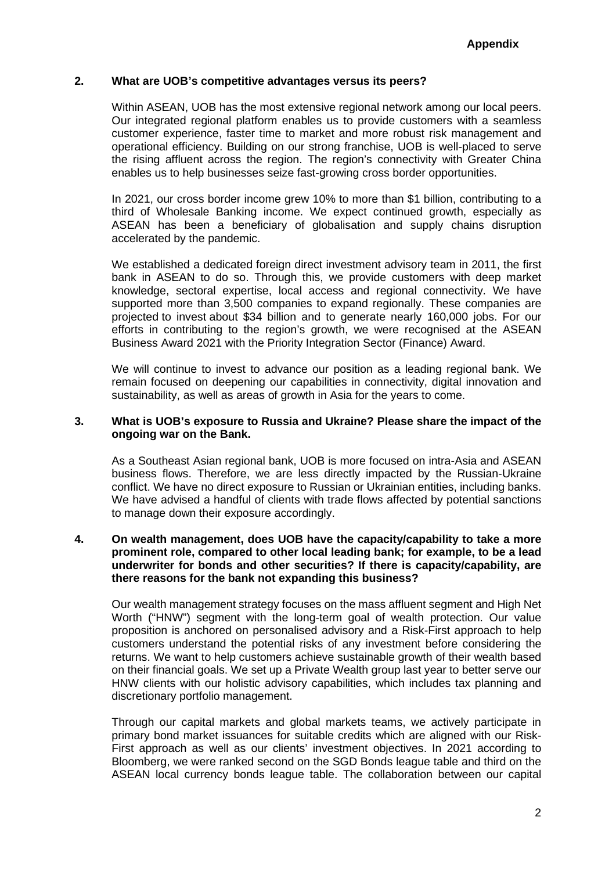# **2. What are UOB's competitive advantages versus its peers?**

Within ASEAN, UOB has the most extensive regional network among our local peers. Our integrated regional platform enables us to provide customers with a seamless customer experience, faster time to market and more robust risk management and operational efficiency. Building on our strong franchise, UOB is well-placed to serve the rising affluent across the region. The region's connectivity with Greater China enables us to help businesses seize fast-growing cross border opportunities.

In 2021, our cross border income grew 10% to more than \$1 billion, contributing to a third of Wholesale Banking income. We expect continued growth, especially as ASEAN has been a beneficiary of globalisation and supply chains disruption accelerated by the pandemic.

We established a dedicated foreign direct investment advisory team in 2011, the first bank in ASEAN to do so. Through this, we provide customers with deep market knowledge, sectoral expertise, local access and regional connectivity. We have supported more than 3,500 companies to expand regionally. These companies are projected to invest about \$34 billion and to generate nearly 160,000 jobs. For our efforts in contributing to the region's growth, we were recognised at the ASEAN Business Award 2021 with the Priority Integration Sector (Finance) Award.

We will continue to invest to advance our position as a leading regional bank. We remain focused on deepening our capabilities in connectivity, digital innovation and sustainability, as well as areas of growth in Asia for the years to come.

### **3. What is UOB's exposure to Russia and Ukraine? Please share the impact of the ongoing war on the Bank.**

As a Southeast Asian regional bank, UOB is more focused on intra-Asia and ASEAN business flows. Therefore, we are less directly impacted by the Russian-Ukraine conflict. We have no direct exposure to Russian or Ukrainian entities, including banks. We have advised a handful of clients with trade flows affected by potential sanctions to manage down their exposure accordingly.

# **4. On wealth management, does UOB have the capacity/capability to take a more prominent role, compared to other local leading bank; for example, to be a lead underwriter for bonds and other securities? If there is capacity/capability, are there reasons for the bank not expanding this business?**

Our wealth management strategy focuses on the mass affluent segment and High Net Worth ("HNW") segment with the long-term goal of wealth protection. Our value proposition is anchored on personalised advisory and a Risk-First approach to help customers understand the potential risks of any investment before considering the returns. We want to help customers achieve sustainable growth of their wealth based on their financial goals. We set up a Private Wealth group last year to better serve our HNW clients with our holistic advisory capabilities, which includes tax planning and discretionary portfolio management.

Through our capital markets and global markets teams, we actively participate in primary bond market issuances for suitable credits which are aligned with our Risk-First approach as well as our clients' investment objectives. In 2021 according to Bloomberg, we were ranked second on the SGD Bonds league table and third on the ASEAN local currency bonds league table. The collaboration between our capital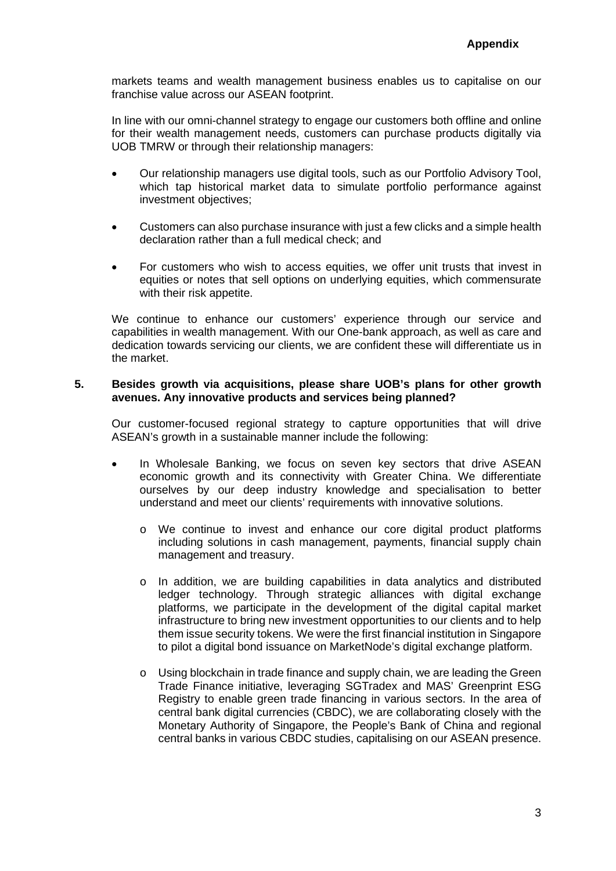markets teams and wealth management business enables us to capitalise on our franchise value across our ASEAN footprint.

In line with our omni-channel strategy to engage our customers both offline and online for their wealth management needs, customers can purchase products digitally via UOB TMRW or through their relationship managers:

- Our relationship managers use digital tools, such as our Portfolio Advisory Tool, which tap historical market data to simulate portfolio performance against investment objectives;
- Customers can also purchase insurance with just a few clicks and a simple health declaration rather than a full medical check; and
- For customers who wish to access equities, we offer unit trusts that invest in equities or notes that sell options on underlying equities, which commensurate with their risk appetite.

We continue to enhance our customers' experience through our service and capabilities in wealth management. With our One-bank approach, as well as care and dedication towards servicing our clients, we are confident these will differentiate us in the market.

#### **5. Besides growth via acquisitions, please share UOB's plans for other growth avenues. Any innovative products and services being planned?**

Our customer-focused regional strategy to capture opportunities that will drive ASEAN's growth in a sustainable manner include the following:

- In Wholesale Banking, we focus on seven key sectors that drive ASEAN economic growth and its connectivity with Greater China. We differentiate ourselves by our deep industry knowledge and specialisation to better understand and meet our clients' requirements with innovative solutions.
	- o We continue to invest and enhance our core digital product platforms including solutions in cash management, payments, financial supply chain management and treasury.
	- o In addition, we are building capabilities in data analytics and distributed ledger technology. Through strategic alliances with digital exchange platforms, we participate in the development of the digital capital market infrastructure to bring new investment opportunities to our clients and to help them issue security tokens. We were the first financial institution in Singapore to pilot a digital bond issuance on MarketNode's digital exchange platform.
	- $\circ$  Using blockchain in trade finance and supply chain, we are leading the Green Trade Finance initiative, leveraging SGTradex and MAS' Greenprint ESG Registry to enable green trade financing in various sectors. In the area of central bank digital currencies (CBDC), we are collaborating closely with the Monetary Authority of Singapore, the People's Bank of China and regional central banks in various CBDC studies, capitalising on our ASEAN presence.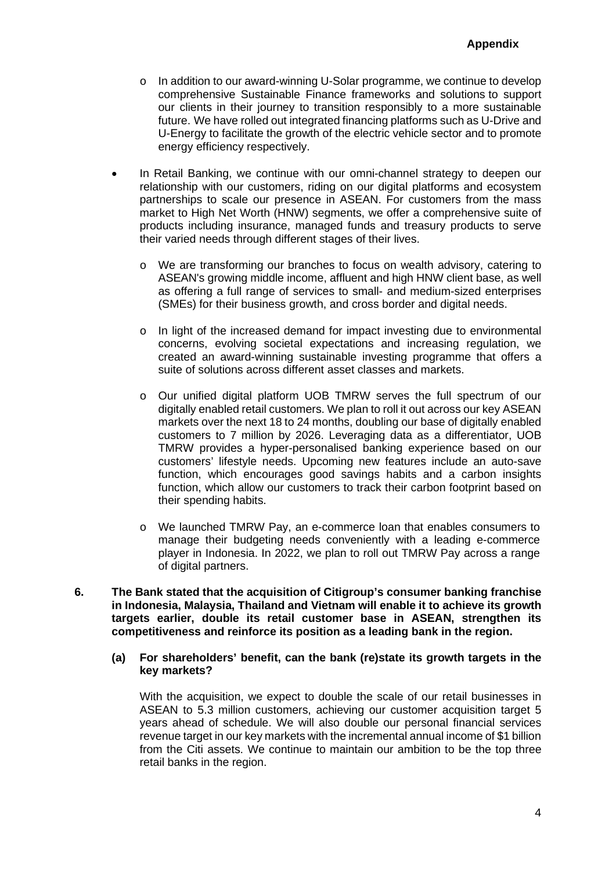- $\circ$  In addition to our award-winning U-Solar programme, we continue to develop comprehensive Sustainable Finance frameworks and solutions to support our clients in their journey to transition responsibly to a more sustainable future. We have rolled out integrated financing platforms such as U-Drive and U-Energy to facilitate the growth of the electric vehicle sector and to promote energy efficiency respectively.
- In Retail Banking, we continue with our omni-channel strategy to deepen our relationship with our customers, riding on our digital platforms and ecosystem partnerships to scale our presence in ASEAN. For customers from the mass market to High Net Worth (HNW) segments, we offer a comprehensive suite of products including insurance, managed funds and treasury products to serve their varied needs through different stages of their lives.
	- o We are transforming our branches to focus on wealth advisory, catering to ASEAN's growing middle income, affluent and high HNW client base, as well as offering a full range of services to small- and medium-sized enterprises (SMEs) for their business growth, and cross border and digital needs.
	- o In light of the increased demand for impact investing due to environmental concerns, evolving societal expectations and increasing regulation, we created an award-winning sustainable investing programme that offers a suite of solutions across different asset classes and markets.
	- o Our unified digital platform UOB TMRW serves the full spectrum of our digitally enabled retail customers. We plan to roll it out across our key ASEAN markets over the next 18 to 24 months, doubling our base of digitally enabled customers to 7 million by 2026. Leveraging data as a differentiator, UOB TMRW provides a hyper-personalised banking experience based on our customers' lifestyle needs. Upcoming new features include an auto-save function, which encourages good savings habits and a carbon insights function, which allow our customers to track their carbon footprint based on their spending habits.
	- o We launched TMRW Pay, an e-commerce loan that enables consumers to manage their budgeting needs conveniently with a leading e-commerce player in Indonesia. In 2022, we plan to roll out TMRW Pay across a range of digital partners.
- **6. The Bank stated that the acquisition of Citigroup's consumer banking franchise in Indonesia, Malaysia, Thailand and Vietnam will enable it to achieve its growth targets earlier, double its retail customer base in ASEAN, strengthen its competitiveness and reinforce its position as a leading bank in the region.**
	- **(a) For shareholders' benefit, can the bank (re)state its growth targets in the key markets?**

With the acquisition, we expect to double the scale of our retail businesses in ASEAN to 5.3 million customers, achieving our customer acquisition target 5 years ahead of schedule. We will also double our personal financial services revenue target in our key markets with the incremental annual income of \$1 billion from the Citi assets. We continue to maintain our ambition to be the top three retail banks in the region.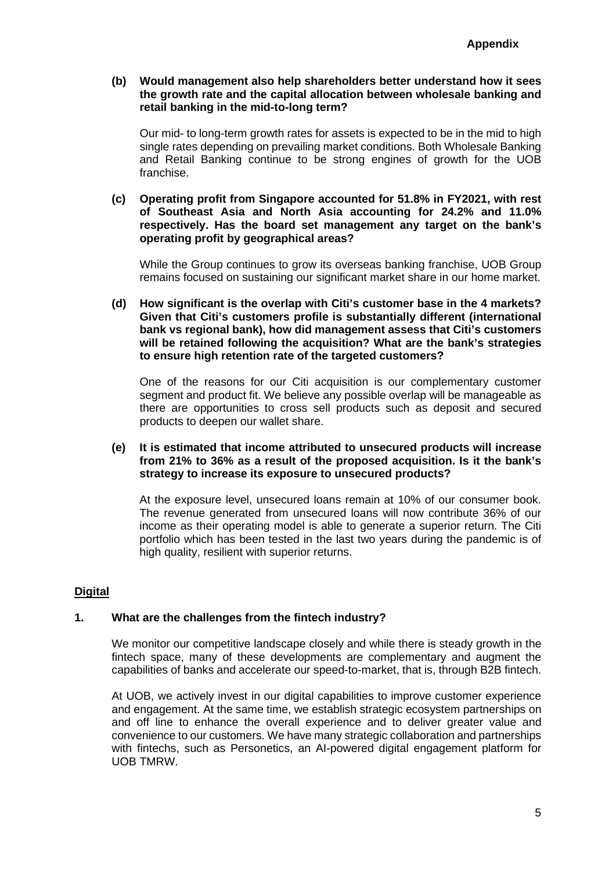**(b) Would management also help shareholders better understand how it sees the growth rate and the capital allocation between wholesale banking and retail banking in the mid-to-long term?** 

Our mid- to long-term growth rates for assets is expected to be in the mid to high single rates depending on prevailing market conditions. Both Wholesale Banking and Retail Banking continue to be strong engines of growth for the UOB franchise.

**(c) Operating profit from Singapore accounted for 51.8% in FY2021, with rest of Southeast Asia and North Asia accounting for 24.2% and 11.0% respectively. Has the board set management any target on the bank's operating profit by geographical areas?** 

While the Group continues to grow its overseas banking franchise, UOB Group remains focused on sustaining our significant market share in our home market.

**(d) How significant is the overlap with Citi's customer base in the 4 markets? Given that Citi's customers profile is substantially different (international bank vs regional bank), how did management assess that Citi's customers will be retained following the acquisition? What are the bank's strategies to ensure high retention rate of the targeted customers?** 

One of the reasons for our Citi acquisition is our complementary customer segment and product fit. We believe any possible overlap will be manageable as there are opportunities to cross sell products such as deposit and secured products to deepen our wallet share.

**(e) It is estimated that income attributed to unsecured products will increase from 21% to 36% as a result of the proposed acquisition. Is it the bank's strategy to increase its exposure to unsecured products?** 

At the exposure level, unsecured loans remain at 10% of our consumer book. The revenue generated from unsecured loans will now contribute 36% of our income as their operating model is able to generate a superior return. The Citi portfolio which has been tested in the last two years during the pandemic is of high quality, resilient with superior returns.

# **Digital**

#### **1. What are the challenges from the fintech industry?**

We monitor our competitive landscape closely and while there is steady growth in the fintech space, many of these developments are complementary and augment the capabilities of banks and accelerate our speed-to-market, that is, through B2B fintech.

At UOB, we actively invest in our digital capabilities to improve customer experience and engagement. At the same time, we establish strategic ecosystem partnerships on and off line to enhance the overall experience and to deliver greater value and convenience to our customers. We have many strategic collaboration and partnerships with fintechs, such as Personetics, an AI-powered digital engagement platform for UOB TMRW.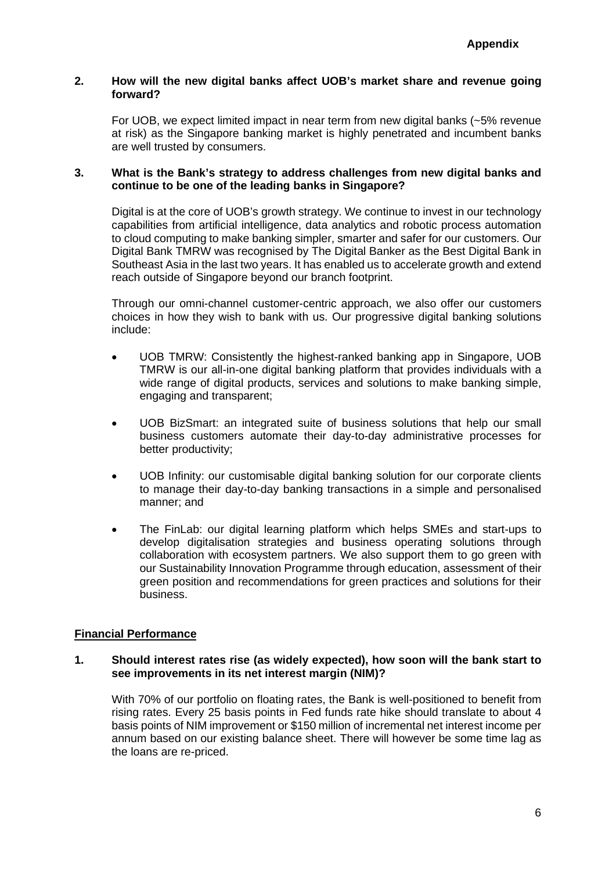#### **2. How will the new digital banks affect UOB's market share and revenue going forward?**

For UOB, we expect limited impact in near term from new digital banks (~5% revenue at risk) as the Singapore banking market is highly penetrated and incumbent banks are well trusted by consumers.

# **3. What is the Bank's strategy to address challenges from new digital banks and continue to be one of the leading banks in Singapore?**

Digital is at the core of UOB's growth strategy. We continue to invest in our technology capabilities from artificial intelligence, data analytics and robotic process automation to cloud computing to make banking simpler, smarter and safer for our customers. Our Digital Bank TMRW was recognised by The Digital Banker as the Best Digital Bank in Southeast Asia in the last two years. It has enabled us to accelerate growth and extend reach outside of Singapore beyond our branch footprint.

Through our omni-channel customer-centric approach, we also offer our customers choices in how they wish to bank with us. Our progressive digital banking solutions include:

- UOB TMRW: Consistently the highest-ranked banking app in Singapore, UOB TMRW is our all-in-one digital banking platform that provides individuals with a wide range of digital products, services and solutions to make banking simple, engaging and transparent;
- UOB BizSmart: an integrated suite of business solutions that help our small business customers automate their day-to-day administrative processes for better productivity;
- UOB Infinity: our customisable digital banking solution for our corporate clients to manage their day-to-day banking transactions in a simple and personalised manner; and
- The FinLab: our digital learning platform which helps SMEs and start-ups to develop digitalisation strategies and business operating solutions through collaboration with ecosystem partners. We also support them to go green with our Sustainability Innovation Programme through education, assessment of their green position and recommendations for green practices and solutions for their business.

# **Financial Performance**

## **1. Should interest rates rise (as widely expected), how soon will the bank start to see improvements in its net interest margin (NIM)?**

With 70% of our portfolio on floating rates, the Bank is well-positioned to benefit from rising rates. Every 25 basis points in Fed funds rate hike should translate to about 4 basis points of NIM improvement or \$150 million of incremental net interest income per annum based on our existing balance sheet. There will however be some time lag as the loans are re-priced.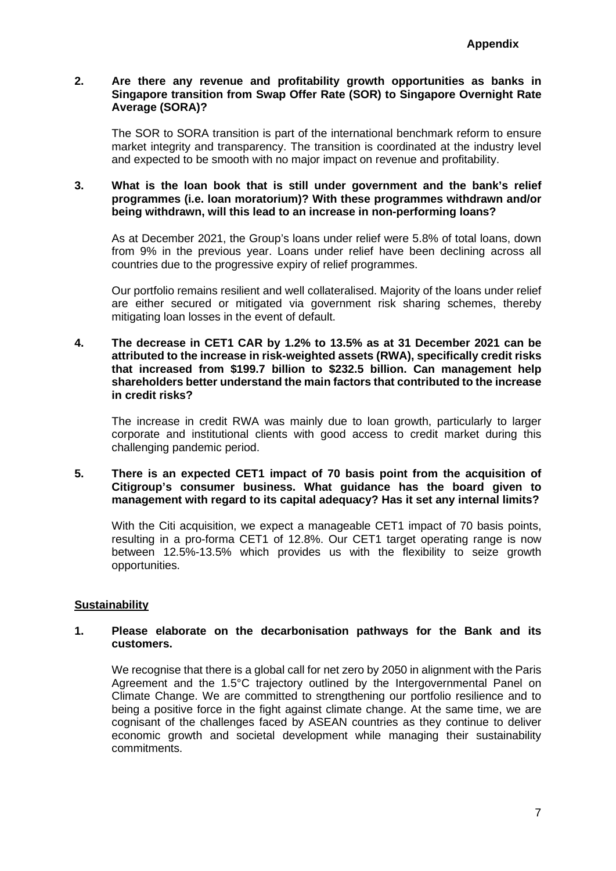# **2. Are there any revenue and profitability growth opportunities as banks in Singapore transition from Swap Offer Rate (SOR) to Singapore Overnight Rate Average (SORA)?**

The SOR to SORA transition is part of the international benchmark reform to ensure market integrity and transparency. The transition is coordinated at the industry level and expected to be smooth with no major impact on revenue and profitability.

#### **3. What is the loan book that is still under government and the bank's relief programmes (i.e. loan moratorium)? With these programmes withdrawn and/or being withdrawn, will this lead to an increase in non-performing loans?**

As at December 2021, the Group's loans under relief were 5.8% of total loans, down from 9% in the previous year. Loans under relief have been declining across all countries due to the progressive expiry of relief programmes.

Our portfolio remains resilient and well collateralised. Majority of the loans under relief are either secured or mitigated via government risk sharing schemes, thereby mitigating loan losses in the event of default.

**4. The decrease in CET1 CAR by 1.2% to 13.5% as at 31 December 2021 can be attributed to the increase in risk-weighted assets (RWA), specifically credit risks that increased from \$199.7 billion to \$232.5 billion. Can management help shareholders better understand the main factors that contributed to the increase in credit risks?** 

The increase in credit RWA was mainly due to loan growth, particularly to larger corporate and institutional clients with good access to credit market during this challenging pandemic period.

# **5. There is an expected CET1 impact of 70 basis point from the acquisition of Citigroup's consumer business. What guidance has the board given to management with regard to its capital adequacy? Has it set any internal limits?**

With the Citi acquisition, we expect a manageable CET1 impact of 70 basis points, resulting in a pro-forma CET1 of 12.8%. Our CET1 target operating range is now between 12.5%-13.5% which provides us with the flexibility to seize growth opportunities.

# **Sustainability**

## **1. Please elaborate on the decarbonisation pathways for the Bank and its customers.**

We recognise that there is a global call for net zero by 2050 in alignment with the Paris Agreement and the 1.5°C trajectory outlined by the Intergovernmental Panel on Climate Change. We are committed to strengthening our portfolio resilience and to being a positive force in the fight against climate change. At the same time, we are cognisant of the challenges faced by ASEAN countries as they continue to deliver economic growth and societal development while managing their sustainability commitments.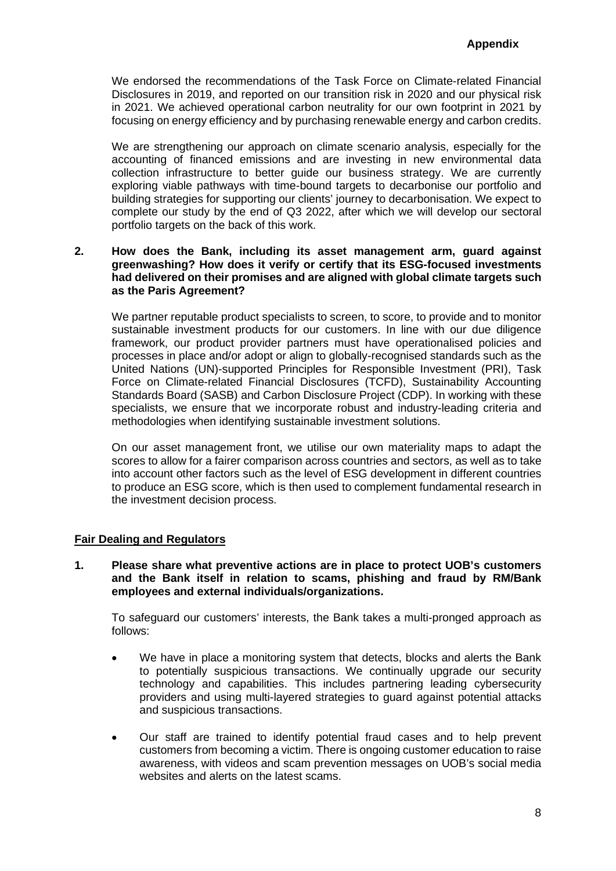We endorsed the recommendations of the Task Force on Climate-related Financial Disclosures in 2019, and reported on our transition risk in 2020 and our physical risk in 2021. We achieved operational carbon neutrality for our own footprint in 2021 by focusing on energy efficiency and by purchasing renewable energy and carbon credits.

We are strengthening our approach on climate scenario analysis, especially for the accounting of financed emissions and are investing in new environmental data collection infrastructure to better guide our business strategy. We are currently exploring viable pathways with time-bound targets to decarbonise our portfolio and building strategies for supporting our clients' journey to decarbonisation. We expect to complete our study by the end of Q3 2022, after which we will develop our sectoral portfolio targets on the back of this work.

# **2. How does the Bank, including its asset management arm, guard against greenwashing? How does it verify or certify that its ESG-focused investments had delivered on their promises and are aligned with global climate targets such as the Paris Agreement?**

We partner reputable product specialists to screen, to score, to provide and to monitor sustainable investment products for our customers. In line with our due diligence framework, our product provider partners must have operationalised policies and processes in place and/or adopt or align to globally-recognised standards such as the United Nations (UN)-supported Principles for Responsible Investment (PRI), Task Force on Climate-related Financial Disclosures (TCFD), Sustainability Accounting Standards Board (SASB) and Carbon Disclosure Project (CDP). In working with these specialists, we ensure that we incorporate robust and industry-leading criteria and methodologies when identifying sustainable investment solutions.

On our asset management front, we utilise our own materiality maps to adapt the scores to allow for a fairer comparison across countries and sectors, as well as to take into account other factors such as the level of ESG development in different countries to produce an ESG score, which is then used to complement fundamental research in the investment decision process.

# **Fair Dealing and Regulators**

**1. Please share what preventive actions are in place to protect UOB's customers and the Bank itself in relation to scams, phishing and fraud by RM/Bank employees and external individuals/organizations.**

To safeguard our customers' interests, the Bank takes a multi-pronged approach as follows:

- We have in place a monitoring system that detects, blocks and alerts the Bank to potentially suspicious transactions. We continually upgrade our security technology and capabilities. This includes partnering leading cybersecurity providers and using multi-layered strategies to guard against potential attacks and suspicious transactions.
- Our staff are trained to identify potential fraud cases and to help prevent customers from becoming a victim. There is ongoing customer education to raise awareness, with videos and scam prevention messages on UOB's social media websites and alerts on the latest scams.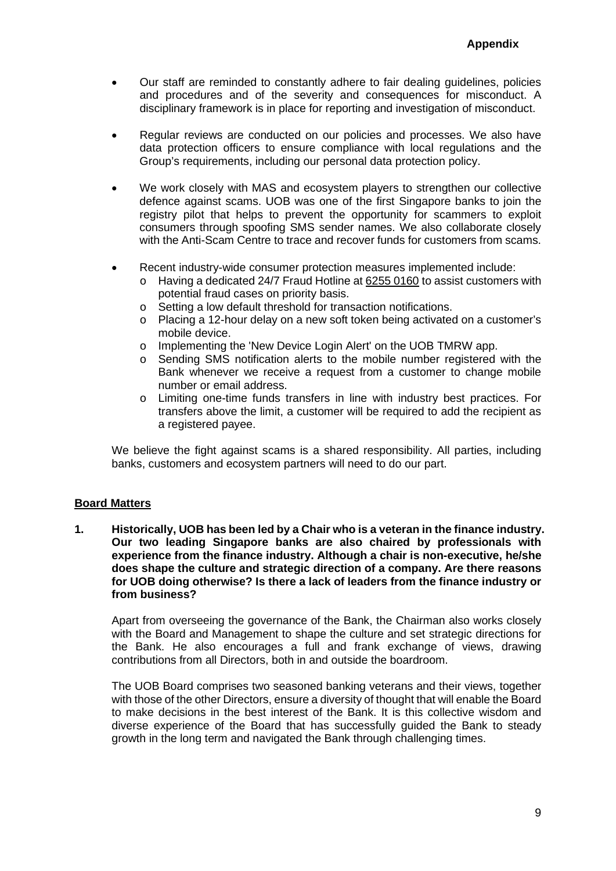- Our staff are reminded to constantly adhere to fair dealing guidelines, policies and procedures and of the severity and consequences for misconduct. A disciplinary framework is in place for reporting and investigation of misconduct.
- Regular reviews are conducted on our policies and processes. We also have data protection officers to ensure compliance with local regulations and the Group's requirements, including our personal data protection policy.
- We work closely with MAS and ecosystem players to strengthen our collective defence against scams. UOB was one of the first Singapore banks to join the registry pilot that helps to prevent the opportunity for scammers to exploit consumers through spoofing SMS sender names. We also collaborate closely with the Anti-Scam Centre to trace and recover funds for customers from scams.
- Recent industry-wide consumer protection measures implemented include:
	- o Having a dedicated 24/7 Fraud Hotline at 6255 0160 to assist customers with potential fraud cases on priority basis.
	- o Setting a low default threshold for transaction notifications.
	- o Placing a 12-hour delay on a new soft token being activated on a customer's mobile device.
	- o Implementing the 'New Device Login Alert' on the UOB TMRW app.
	- o Sending SMS notification alerts to the mobile number registered with the Bank whenever we receive a request from a customer to change mobile number or email address.
	- o Limiting one-time funds transfers in line with industry best practices. For transfers above the limit, a customer will be required to add the recipient as a registered payee.

We believe the fight against scams is a shared responsibility. All parties, including banks, customers and ecosystem partners will need to do our part.

# **Board Matters**

**1. Historically, UOB has been led by a Chair who is a veteran in the finance industry. Our two leading Singapore banks are also chaired by professionals with experience from the finance industry. Although a chair is non-executive, he/she does shape the culture and strategic direction of a company. Are there reasons for UOB doing otherwise? Is there a lack of leaders from the finance industry or from business?**

Apart from overseeing the governance of the Bank, the Chairman also works closely with the Board and Management to shape the culture and set strategic directions for the Bank. He also encourages a full and frank exchange of views, drawing contributions from all Directors, both in and outside the boardroom.

The UOB Board comprises two seasoned banking veterans and their views, together with those of the other Directors, ensure a diversity of thought that will enable the Board to make decisions in the best interest of the Bank. It is this collective wisdom and diverse experience of the Board that has successfully guided the Bank to steady growth in the long term and navigated the Bank through challenging times.